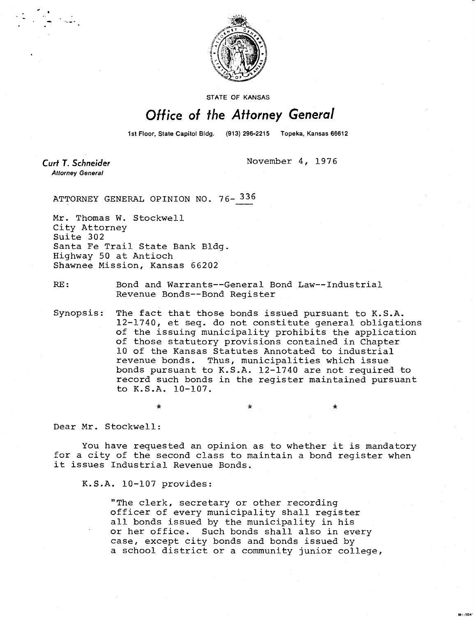

**STATE OF KANSAS** 

## Office of the Attorney General

1st Floor, State Capitol Bldg. (913) 296-2215 Topeka, Kansas 66612

**Curt T. Schneider Attorney General** 

November 4, 1976

ATTORNEY GENERAL OPINION NO. 76- 336

Mr. Thomas W. Stockwell City Attorney Suite 302 Santa Fe Trail State Bank Bldg. Highway 50 at Antioch Shawnee Mission, Kansas 66202

RE: Bond and Warrants--General Bond Law--Industrial Revenue Bonds--Bond Register

Synopsis: The fact that those bonds issued pursuant to K.S.A. 12-1740, et seq. do not constitute general obligations of the issuing municipality prohibits the application of those statutory provisions contained in Chapter 10 of the Kansas Statutes Annotated to industrial revenue bonds. Thus, municipalities which issue bonds pursuant to K.S.A. 12-1740 are not required to record such bonds in the register maintained pursuant to K.S.A. 10-107.

\*

Dear Mr. Stockwell:

You have requested an opinion as to whether it is mandatory for a city of the second class to maintain a bond register when it issues Industrial Revenue Bonds.

K.S.A. 10-107 provides:

"The clerk, secretary or other recording officer of every municipality shall register all bonds issued by the municipality in his or her office. Such bonds shall also in every case, except city bonds and bonds issued by a school district or a community junior college,

M1-104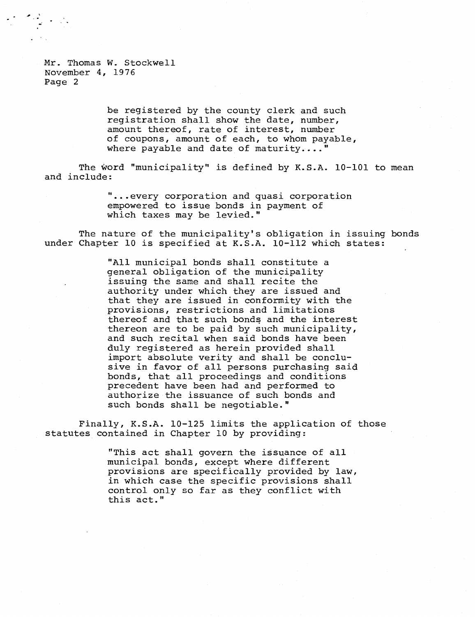Mr. Thomas W. Stockwell November 4, 1976 Page 2

> be registered by the county clerk and such registration shall show the date, number, amount thereof, rate of interest, number of coupons, amount of each, to whom payable, where payable and date of maturity...."

The word "municipality" is defined by K.S.A. 10-101 to mean and include:

> ...every corporation and quasi corporation empowered to issue bonds in payment of which taxes may be levied."

The nature of the municipality's obligation in issuing bonds under Chapter 10 is specified at K.S.A. 10-112 which states:

> "All municipal bonds shall constitute a general obligation of the municipality issuing the same and shall recite the authority under which they are issued and that they are issued in conformity with the provisions, restrictions and limitations thereof and that such bonds and the interest thereon are to be paid by such municipality, and such recital when said bonds have been duly registered as herein provided shall import absolute verity and shall be conclusive in favor of all persons purchasing said bonds, that all proceedings and conditions precedent have been had and performed to authorize the issuance of such bonds and such bonds shall be negotiable."

Finally, K.S.A. 10-125 limits the application of those statutes contained in Chapter 10 by providing:

> "This act shall govern the issuance of all municipal bonds, except where different provisions are specifically provided by law, in which case the specific provisions shall control only so far as they conflict with this act."